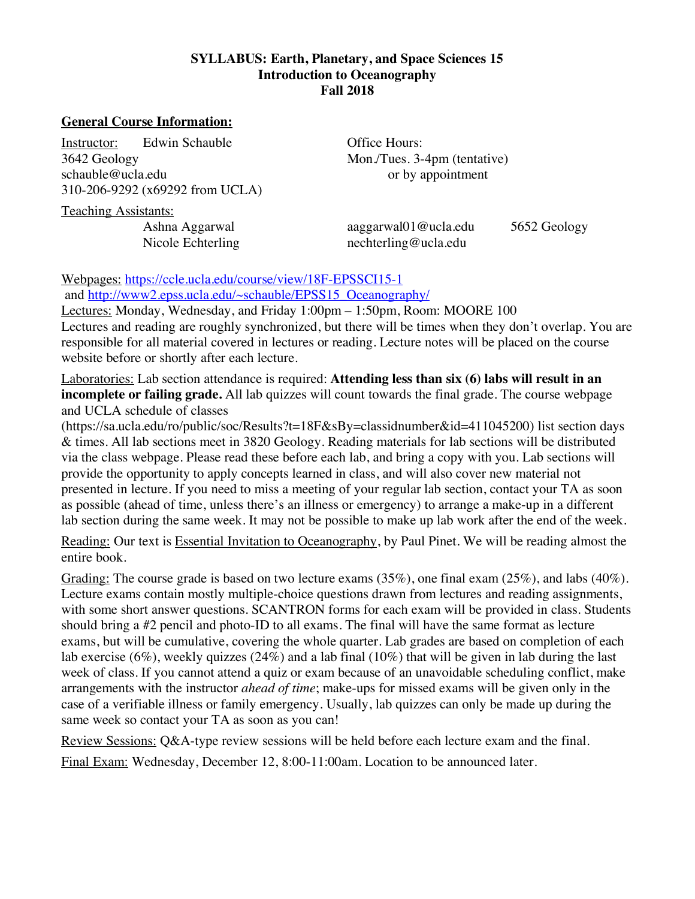## **SYLLABUS: Earth, Planetary, and Space Sciences 15 Introduction to Oceanography Fall 2018**

## **General Course Information:**

Instructor: Edwin Schauble **Office Hours:** 3642 Geology Mon./Tues. 3-4pm (tentative) schauble@ucla.edu or by appointment 310-206-9292 (x69292 from UCLA)

Teaching Assistants:

Ashna Aggarwal aaggarwal01@ucla.edu 5652 Geology Nicole Echterling nechterling@ucla.edu

Webpages: https://ccle.ucla.edu/course/view/18F-EPSSCI15-1

and http://www2.epss.ucla.edu/~schauble/EPSS15\_Oceanography/

Lectures: Monday, Wednesday, and Friday 1:00pm – 1:50pm, Room: MOORE 100 Lectures and reading are roughly synchronized, but there will be times when they don't overlap. You are responsible for all material covered in lectures or reading. Lecture notes will be placed on the course website before or shortly after each lecture.

Laboratories: Lab section attendance is required: **Attending less than six (6) labs will result in an incomplete or failing grade.** All lab quizzes will count towards the final grade. The course webpage and UCLA schedule of classes

(https://sa.ucla.edu/ro/public/soc/Results?t=18F&sBy=classidnumber&id=411045200) list section days & times. All lab sections meet in 3820 Geology. Reading materials for lab sections will be distributed via the class webpage. Please read these before each lab, and bring a copy with you. Lab sections will provide the opportunity to apply concepts learned in class, and will also cover new material not presented in lecture. If you need to miss a meeting of your regular lab section, contact your TA as soon as possible (ahead of time, unless there's an illness or emergency) to arrange a make-up in a different lab section during the same week. It may not be possible to make up lab work after the end of the week.

Reading: Our text is Essential Invitation to Oceanography, by Paul Pinet. We will be reading almost the entire book.

Grading: The course grade is based on two lecture exams (35%), one final exam (25%), and labs (40%). Lecture exams contain mostly multiple-choice questions drawn from lectures and reading assignments, with some short answer questions. SCANTRON forms for each exam will be provided in class. Students should bring a #2 pencil and photo-ID to all exams. The final will have the same format as lecture exams, but will be cumulative, covering the whole quarter. Lab grades are based on completion of each lab exercise (6%), weekly quizzes (24%) and a lab final (10%) that will be given in lab during the last week of class. If you cannot attend a quiz or exam because of an unavoidable scheduling conflict, make arrangements with the instructor *ahead of time*; make-ups for missed exams will be given only in the case of a verifiable illness or family emergency. Usually, lab quizzes can only be made up during the same week so contact your TA as soon as you can!

Review Sessions: Q&A-type review sessions will be held before each lecture exam and the final.

Final Exam: Wednesday, December 12, 8:00-11:00am. Location to be announced later.